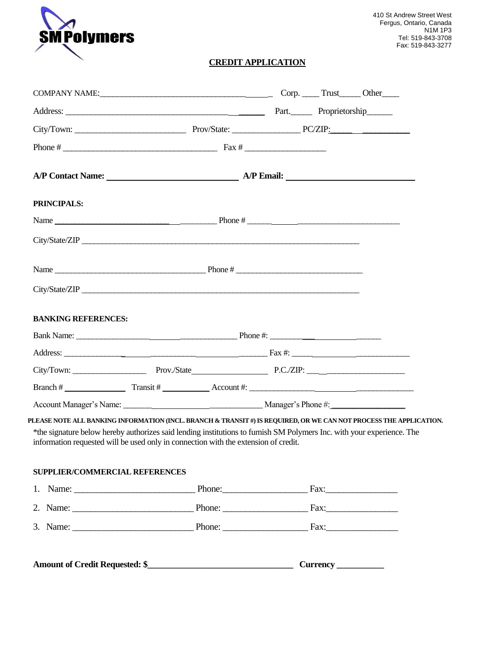

## **CREDIT APPLICATION**

| COMPANY NAME: COMPANY NAME: COMPANY NAME:                                                                                                                                                                                                                                                                                           |                                     |  |  |  |  |
|-------------------------------------------------------------------------------------------------------------------------------------------------------------------------------------------------------------------------------------------------------------------------------------------------------------------------------------|-------------------------------------|--|--|--|--|
|                                                                                                                                                                                                                                                                                                                                     | Address: Proprietorship             |  |  |  |  |
|                                                                                                                                                                                                                                                                                                                                     |                                     |  |  |  |  |
|                                                                                                                                                                                                                                                                                                                                     |                                     |  |  |  |  |
|                                                                                                                                                                                                                                                                                                                                     | A/P Contact Name: <u>A/P Email:</u> |  |  |  |  |
| PRINCIPALS:                                                                                                                                                                                                                                                                                                                         |                                     |  |  |  |  |
|                                                                                                                                                                                                                                                                                                                                     |                                     |  |  |  |  |
|                                                                                                                                                                                                                                                                                                                                     |                                     |  |  |  |  |
|                                                                                                                                                                                                                                                                                                                                     |                                     |  |  |  |  |
|                                                                                                                                                                                                                                                                                                                                     |                                     |  |  |  |  |
| <b>BANKING REFERENCES:</b>                                                                                                                                                                                                                                                                                                          |                                     |  |  |  |  |
|                                                                                                                                                                                                                                                                                                                                     |                                     |  |  |  |  |
|                                                                                                                                                                                                                                                                                                                                     |                                     |  |  |  |  |
|                                                                                                                                                                                                                                                                                                                                     |                                     |  |  |  |  |
| Branch # $\qquad \qquad \qquad$ Transit # $\qquad \qquad$ Account #: $\qquad \qquad$                                                                                                                                                                                                                                                |                                     |  |  |  |  |
|                                                                                                                                                                                                                                                                                                                                     |                                     |  |  |  |  |
| PLEASE NOTE ALL BANKING INFORMATION (INCL. BRANCH & TRANSIT #) IS REQUIRED, OR WE CAN NOT PROCESS THE APPLICATION.<br>*the signature below hereby authorizes said lending institutions to furnish SM Polymers Inc. with your experience. The<br>information requested will be used only in connection with the extension of credit. |                                     |  |  |  |  |
| SUPPLIER/COMMERCIAL REFERENCES                                                                                                                                                                                                                                                                                                      |                                     |  |  |  |  |
|                                                                                                                                                                                                                                                                                                                                     |                                     |  |  |  |  |
|                                                                                                                                                                                                                                                                                                                                     |                                     |  |  |  |  |
|                                                                                                                                                                                                                                                                                                                                     |                                     |  |  |  |  |
|                                                                                                                                                                                                                                                                                                                                     |                                     |  |  |  |  |